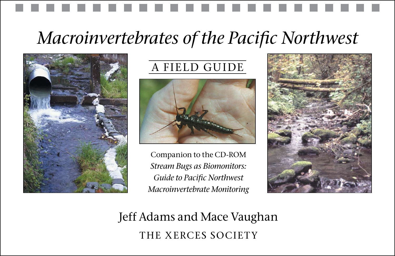## *Macroinvertebrates of the Pacific Northwest*



## A FIELD GUIDE



Companion to the CD-ROM *Stream Bugs as Biomonitors: Guide to Pacific Northwest Macroinvertebrate Monitoring* 



Jeff Adams and Mace Vaughan THE XERCES SOCIETY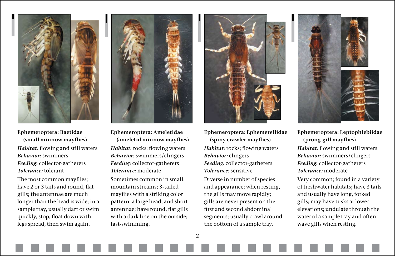

**Ephemeroptera: Baetidae (small minnow mayflies)** *Habitat:* flowing and still waters *Behavior:* swimmers *Feeding:* collector-gatherers *Tolerance:* tolerant

The most common mayflies; have 2 or 3 tails and round, flat gills; the antennae are much longer than the head is wide; in a sample tray, usually dart or swim quickly, stop, float down with legs spread, then swim again.



**Ephemeroptera: Ameletidae (ameletid minnow mayflies)**

*Habitat:* rocks; flowing waters *Behavior:* swimmers/clingers *Feeding:* collector-gatherers *Tolerance:* moderate

Sometimes common in small, mountain streams; 3-tailed mayflies with a striking color pattern, a large head, and short antennae; have round, flat gills with a dark line on the outside; fast-swimming.



**Ephemeroptera: Ephemerellidae (spiny crawler mayflies)** *Habitat:* rocks; flowing waters *Behavior:* clingers *Feeding:* collector-gatherers *Tolerance:* sensitive Diverse in number of species and appearance; when resting, the gills may move rapidly; gills are never present on the

first and second abdominal segments; usually crawl around the bottom of a sample tray.



**Ephemeroptera: Leptophlebiidae (prong-gill mayflies)** *Habitat:* flowing and still waters *Behavior:* swimmers/clingers *Feeding:* collector-gatherers *Tolerance:* moderate

Very common; found in a variety of freshwater habitats; have 3 tails and usually have long, forked gills; may have tusks at lower elevations; undulate through the water of a sample tray and often wave gills when resting.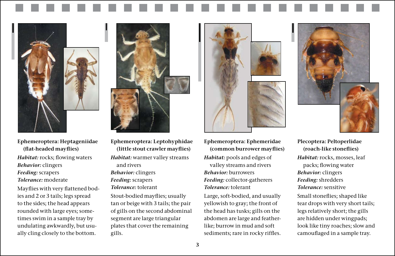

**Ephemeroptera: Heptageniidae (flat-headed mayflies)**  *Habitat:* rocks; flowing waters *Behavior:* clingers *Feeding:* scrapers *Tolerance:* moderate

Mayflies with very flattened bodies and 2 or 3 tails; legs spread to the sides; the head appears rounded with large eyes; sometimes swim in a sample tray by undulating awkwardly, but usually cling closely to the bottom.



**Ephemeroptera: Leptohyphidae (little stout crawler mayflies)** *Habitat:* warmer valley streams and rivers *Behavior:* clingers *Feeding:* scrapers *Tolerance:* tolerant

Stout-bodied mayflies; usually tan or beige with 3 tails; the pair of gills on the second abdominal segment are large triangular plates that cover the remaining gills.



**Ephemeroptera: Ephemeridae (common burrower mayflies)** *Habitat:* pools and edges of valley streams and rivers *Behavior:* burrowers *Feeding:* collector-gatherers *Tolerance:* tolerant

Large, soft-bodied, and usually yellowish to gray; the front of the head has tusks; gills on the abdomen are large and featherlike; burrow in mud and soft sediments; rare in rocky riffles.



**Plecoptera: Peltoperlidae (roach-like stoneflies)** *Habitat:* rocks, mosses, leaf packs; flowing water *Behavior:* clingers *Feeding:* shredders *Tolerance:* sensitive Small stoneflies; shaped like tear drops with very short tails; legs relatively short; the gills are hidden under wingpads; look like tiny roaches; slow and camouflaged in a sample tray.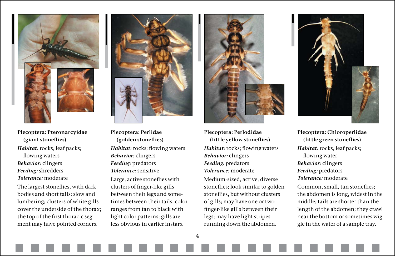

**Plecoptera: Pteronarcyidae (giant stoneflies)** *Habitat:* rocks, leaf packs; flowing waters *Behavior:* clingers *Feeding:* shredders *Tolerance:* moderate

The largest stoneflies, with dark bodies and short tails; slow and lumbering; clusters of white gills cover the underside of the thorax; the top of the first thoracic segment may have pointed corners.



**Plecoptera: Perlidae (golden stoneflies)** *Habitat:* rocks; flowing waters *Behavior:* clingers *Feeding:* predators *Tolerance:* sensitive Large, active stoneflies with clusters of finger-like gills between their legs and sometimes between their tails; color ranges from tan to black with light color patterns; gills are less obvious in earlier instars.



**Plecoptera: Perlodidae (little yellow stoneflies)** *Habitat:* rocks; flowing waters *Behavior:* clingers *Feeding:* predators *Tolerance:* moderate

Medium-sized, active, diverse stoneflies; look similar to golden stoneflies, but without clusters of gills; may have one or two finger-like gills between their legs; may have light stripes running down the abdomen.



**Plecoptera: Chloroperlidae (little green stoneflies)** *Habitat:* rocks, leaf packs; flowing water *Behavior:* clingers *Feeding:* predators *Tolerance:* moderate Common, small, tan stoneflies; the abdomen is long, widest in the middle; tails are shorter than the length of the abdomen; they crawl near the bottom or sometimes wiggle in the water of a sample tray.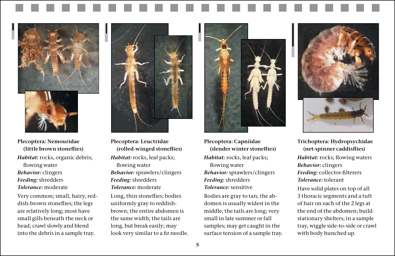

**Plecoptera: Nemouridae (little brown stoneflies)** *Habitat:* rocks, organic debris; flowing water *Behavior:* clingers *Feeding:* shredders *Tolerance:* moderate

Very common; small, hairy, reddish-brown stoneflies; the legs are relatively long; most have small gills beneath the neck or head; crawl slowly and blend into the debris in a sample tray.



**(rolled-winged stoneflies)** *Habitat:* rocks, leaf packs; flowing water *Behavior:* sprawlers/clingers *Feeding:* shredders *Tolerance:* moderate Long, thin stoneflies; bodies uniformly gray to reddishbrown; the entire abdomen is the same width; the tails are long, but break easily; may look very similar to a fir needle.



**Plecoptera: Capniidae (slender winter stoneflies)** *Habitat:* rocks, leaf packs; flowing water *Behavior:* sprawlers/clingers *Feeding:* shredders *Tolerance:* sensitive Bodies are gray to tan; the ab-

domen is usually widest in the middle; the tails are long; very small in late summer or fall samples; may get caught in the surface tension of a sample tray.



**Trichoptera: Hydropsychidae (net-spinner caddisflies)** *Habitat:* rocks; flowing waters *Behavior:* clingers *Feeding:* collector-filterers *Tolerance:* tolerant Have solid plates on top of all 3 thoracic segments and a tuft of hair on each of the 2 legs at the end of the abdomen; build stationary shelters; in a sample tray, wiggle side-to-side or crawl with body hunched up.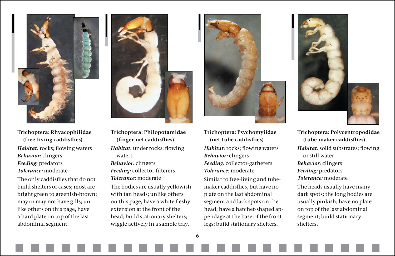

**Trichoptera: Rhyacophilidae (free-living caddisflies)** *Habitat:* rocks; flowing waters *Behavior:* clingers *Feeding:* predators *Tolerance:* moderate

The only caddisflies that do not build shelters or cases; most are bright green to greenish-brown; may or may not have gills; unlike others on this page, have a hard plate on top of the last abdominal segment.



**Trichoptera: Philopotamidae (finger-net caddisflies)**  *Habitat:* under rocks; flowing waters *Behavior:* clingers *Feeding:* collector-filterers *Tolerance:* moderate The bodies are usually yellowish with tan heads; unlike others on this page, have a white fleshy extension at the front of the head; build stationary shelters; wiggle actively in a sample tray.



**Trichoptera: Psychomyiidae (net-tube caddisflies)** *Habitat:* rocks; flowing waters *Behavior:* clingers

*Feeding:* collector-gatherers *Tolerance:* moderate Similar to free-living and tubemaker caddisflies, but have no plate on the last abdominal segment and lack spots on the head; have a hatchet-shaped appendage at the base of the front

legs; build stationary shelters.



**Trichoptera: Polycentropodidae (tube-maker caddisflies)** *Habitat:* solid substrates; flowing or still water *Behavior:* clingers *Feeding:* predators *Tolerance:* moderate The heads usually have many dark spots; the long bodies are usually pinkish; have no plate on top of the last abdominal segment; build stationary shelters.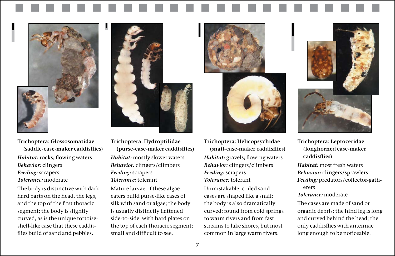**Trichoptera: Glossosomatidae (saddle-case-maker caddisflies)** *Habitat:* rocks; flowing waters *Behavior:* clingers *Feeding:* scrapers *Tolerance:* moderate

The body is distinctive with dark hard parts on the head, the legs, and the top of the first thoracic segment; the body is slightly curved, as is the unique tortoiseshell-like case that these caddisflies build of sand and pebbles.

**Trichoptera: Hydroptilidae (purse-case-maker caddisflies)** *Habitat:* mostly slower waters *Behavior:* clingers/climbers *Feeding:* scrapers *Tolerance:* tolerant

Mature larvae of these algae eaters build purse-like cases of silk with sand or algae; the body is usually distinctly flattened side-to-side, with hard plates on the top of each thoracic segment; small and difficult to see.

**Trichoptera: Helicopsychidae (snail-case-maker caddisflies)** *Habitat:* gravels; flowing waters *Behavior:* clingers/climbers *Feeding:* scrapers *Tolerance:* tolerant

Unmistakable, coiled sand cases are shaped like a snail; the body is also dramatically curved; found from cold springs to warm rivers and from fast streams to lake shores, but most common in large warm rivers.

**Trichoptera: Leptoceridae (longhorned case-maker caddisflies)**

*Habitat:* most fresh waters *Behavior:* clingers/sprawlers

*Feeding:* predators/collector-gatherers

*Tolerance:* moderate

The cases are made of sand or organic debris; the hind leg is long and curved behind the head; the only caddisflies with antennae long enough to be noticeable.





![](_page_6_Picture_14.jpeg)

![](_page_6_Picture_15.jpeg)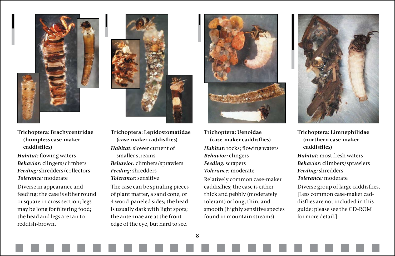![](_page_7_Picture_0.jpeg)

- **Trichoptera: Brachycentridae (humpless case-maker caddisflies)**
- *Habitat:* flowing waters *Behavior:* clingers/climbers *Feeding:* shredders/collectors *Tolerance:* moderate

Diverse in appearance and feeding; the case is either round or square in cross section; legs may be long for filtering food; the head and legs are tan to reddish-brown.

![](_page_7_Picture_4.jpeg)

**Trichoptera: Lepidostomatidae (case-maker caddisflies)** *Habitat:* slower current of smaller streams *Behavior:* climbers/sprawlers *Feeding:* shredders *Tolerance:* sensitive

The case can be spiraling pieces of plant matter, a sand cone, or 4 wood-paneled sides; the head is usually dark with light spots; the antennae are at the front edge of the eye, but hard to see.

![](_page_7_Picture_7.jpeg)

**Trichoptera: Uenoidae (case-maker caddisflies)**  *Habitat:* rocks; flowing waters *Behavior:* clingers *Feeding:* scrapers *Tolerance:* moderate Relatively common case-maker caddisflies; the case is either thick and pebbly (moderately tolerant) or long, thin, and smooth (highly sensitive species found in mountain streams).

![](_page_7_Picture_9.jpeg)

**Trichoptera: Limnephilidae (northern case-maker caddisflies)** *Habitat:* most fresh waters *Behavior:* climbers/sprawlers *Feeding:* shredders *Tolerance:* moderate Diverse group of large caddisflies. [Less common case-maker caddisflies are not included in this guide; please see the CD-ROM for more detail.]

 $\mathbf{8}$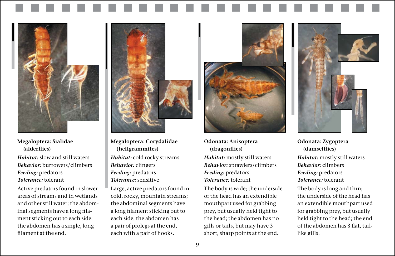**Megaloptera: Sialidae (alderflies)**

*Habitat:* slow and still waters *Behavior:* burrowers/climbers *Feeding:* predators *Tolerance:* tolerant

Active predators found in slower areas of streams and in wetlands and other still water; the abdominal segments have a long filament sticking out to each side; the abdomen has a single, long filament at the end.

**Megaloptera: Corydalidae (hellgrammites)** *Habitat:* cold rocky streams *Behavior:* clingers *Feeding:* predators *Tolerance:* sensitive

Large, active predators found in cold, rocky, mountain streams; the abdominal segments have a long filament sticking out to each side; the abdomen has a pair of prolegs at the end, each with a pair of hooks.

![](_page_8_Picture_5.jpeg)

**Odonata: Anisoptera (dragonflies)** *Habitat:* mostly still waters *Behavior:* sprawlers/climbers *Feeding:* predators *Tolerance:* tolerant

The body is wide; the underside of the head has an extendible mouthpart used for grabbing prey, but usually held tight to the head; the abdomen has no gills or tails, but may have 3 short, sharp points at the end.

![](_page_8_Picture_8.jpeg)

**Odonata: Zygoptera (damselflies)** *Habitat:* mostly still waters *Behavior:* climbers *Feeding:* predators *Tolerance:* tolerant

The body is long and thin; the underside of the head has an extendible mouthpart used for grabbing prey, but usually held tight to the head; the end of the abdomen has 3 flat, taillike gills.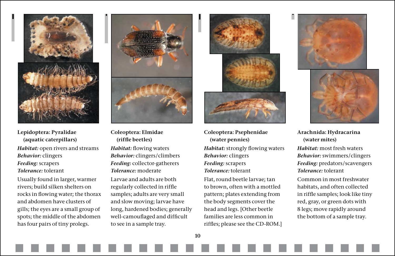![](_page_9_Picture_0.jpeg)

**Lepidoptera: Pyralidae (aquatic caterpillars)** *Habitat:* open rivers and streams *Behavior:* clingers *Feeding:* scrapers *Tolerance:* tolerant

Usually found in larger, warmer rivers; build silken shelters on rocks in flowing water; the thorax and abdomen have clusters of gills; the eyes are a small group of spots; the middle of the abdomen has four pairs of tiny prolegs.

![](_page_9_Picture_3.jpeg)

**Coleoptera: Elmidae (riffle beetles)**

*Habitat:* flowing waters *Behavior:* clingers/climbers *Feeding:* collector-gatherers *Tolerance:* moderate

Larvae and adults are both regularly collected in riffle samples; adults are very small and slow moving; larvae have long, hardened bodies; generally well-camouflaged and difficult to see in a sample tray.

![](_page_9_Picture_7.jpeg)

- **Coleoptera: Psephenidae (water pennies)**
- *Habitat:* strongly flowing waters *Behavior:* clingers *Feeding:* scrapers *Tolerance:* tolerant

Flat, round beetle larvae; tan to brown, often with a mottled pattern; plates extending from the body segments cover the head and legs. [Other beetle families are less common in riffles; please see the CD-ROM.]

![](_page_9_Picture_11.jpeg)

**Arachnida: Hydracarina (water mites)** *Habitat:* most fresh waters *Behavior:* swimmers/clingers *Feeding:* predators/scavengers *Tolerance:* tolerant

Common in most freshwater habitats, and often collected in riffle samples; look like tiny red, gray, or green dots with 8 legs; move rapidly around the bottom of a sample tray.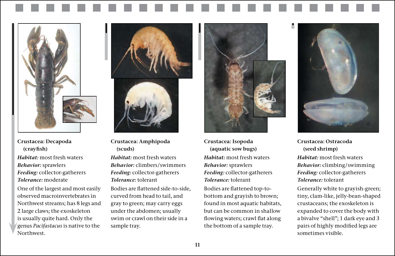![](_page_10_Picture_0.jpeg)

**Crustacea: Decapoda (crayfish)** *Habitat:* most fresh waters *Behavior:* sprawlers *Feeding:* collector-gatherers *Tolerance:* moderate

One of the largest and most easily observed macroinvertebrates in Northwest streams; has 8 legs and 2 large claws; the exoskeleton is usually quite hard. Only the genus *Pacifastacus* is native to the Northwest.

![](_page_10_Picture_3.jpeg)

**Crustacea: Amphipoda (scuds)** 

*Habitat:* most fresh waters *Behavior:* climbers/swimmers *Feeding:* collector-gatherers *Tolerance:* tolerant

Bodies are flattened side-to-side, curved from head to tail, and gray to green; may carry eggs under the abdomen; usually swim or crawl on their side in a sample tray.

![](_page_10_Picture_7.jpeg)

**Crustacea: Isopoda (aquatic sow bugs)** *Habitat:* most fresh waters *Behavior:* sprawlers *Feeding:* collector-gatherers *Tolerance:* tolerant

Bodies are flattened top-tobottom and grayish to brown; found in most aquatic habitats, but can be common in shallow flowing waters; crawl flat along the bottom of a sample tray.

![](_page_10_Picture_10.jpeg)

**Crustacea: Ostracoda (seed shrimp)** *Habitat:* most fresh waters *Behavior:* climbing/swimming *Feeding:* collector-gatherers *Tolerance:* tolerant

Generally white to grayish-green; tiny, clam-like, jelly-bean-shaped crustaceans; the exoskeleton is expanded to cover the body with a bivalve "shell"; 1 dark eye and 3 pairs of highly modified legs are sometimes visible.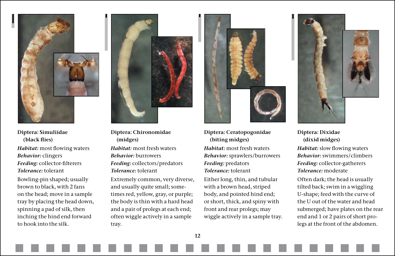![](_page_11_Picture_0.jpeg)

**Diptera: Simuliidae (black flies)** *Habitat:* most flowing waters *Behavior:* clingers *Feeding:* collector-filterers *Tolerance:* tolerant Bowling-pin shaped; usually brown to black, with 2 fans

on the head; move in a sample tray by placing the head down, spinning a pad of silk, then inching the hind end forward to hook into the silk.

![](_page_11_Picture_3.jpeg)

**Diptera: Chironomidae (midges)**

*Habitat:* most fresh waters *Behavior:* burrowers *Feeding:* collectors/predators *Tolerance:* tolerant

Extremely common, very diverse, and usually quite small; sometimes red, yellow, gray, or purple; the body is thin with a hard head and a pair of prolegs at each end; often wiggle actively in a sample tray.

![](_page_11_Picture_7.jpeg)

**Diptera: Ceratopogonidae (biting midges)**

*Habitat:* most fresh waters *Behavior:* sprawlers/burrowers *Feeding:* predators *Tolerance:* tolerant

Either long, thin, and tubular with a brown head, striped body, and pointed hind end; or short, thick, and spiny with front and rear prolegs; may wiggle actively in a sample tray.

![](_page_11_Picture_11.jpeg)

**Diptera: Dixidae (dixid midges)** *Habitat:* slow flowing waters *Behavior:* swimmers/climbers *Feeding:* collector-gatherers *Tolerance:* moderate

Often dark; the head is usually tilted back; swim in a wiggling U-shape; feed with the curve of the U out of the water and head submerged; have plates on the rear end and 1 or 2 pairs of short prolegs at the front of the abdomen.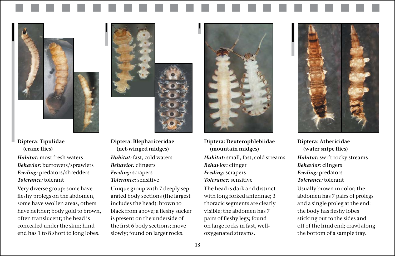**Diptera: Tipulidae (crane flies)**

*Habitat:* most fresh waters *Behavior:* burrowers/sprawlers *Feeding:* predators/shredders *Tolerance:* tolerant

Very diverse group: some have fleshy prolegs on the abdomen, some have swollen areas, others have neither; body gold to brown, often translucent; the head is concealed under the skin; hind end has 1 to 8 short to long lobes.

**Diptera: Blephariceridae (net-winged midges)** *Habitat:* fast, cold waters *Behavior:* clingers *Feeding:* scrapers *Tolerance:* sensitive

Unique group with 7 deeply separated body sections (the largest includes the head); brown to black from above; a fleshy sucker is present on the underside of the first 6 body sections; move slowly; found on larger rocks.

![](_page_12_Picture_5.jpeg)

**Diptera: Deuterophlebiidae (mountain midges)** *Habitat:* small, fast, cold streams *Behavior:* clinger *Feeding:* scrapers *Tolerance:* sensitive

The head is dark and distinct with long forked antennae; 3 thoracic segments are clearly visible; the abdomen has 7 pairs of fleshy legs; found on large rocks in fast, welloxygenated streams.

![](_page_12_Picture_8.jpeg)

**Diptera: Athericidae (water snipe flies)** *Habitat:* swift rocky streams *Behavior:* clingers *Feeding:* predators *Tolerance:* tolerant

Usually brown in color; the abdomen has 7 pairs of prolegs and a single proleg at the end; the body has fleshy lobes sticking out to the sides and off of the hind end; crawl along the bottom of a sample tray.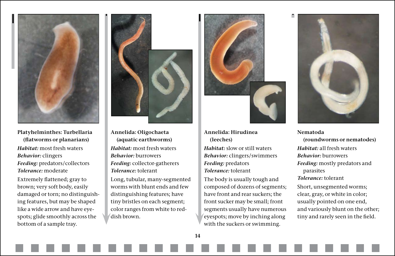![](_page_13_Picture_0.jpeg)

**Platyhelminthes: Turbellaria (flatworms or planarians)** *Habitat:* most fresh waters *Behavior:* clingers *Feeding:* predators/collectors *Tolerance:* moderate

Extremely flattened; gray to brown; very soft body, easily damaged or torn; no distinguishing features, but may be shaped like a wide arrow and have eyespots; glide smoothly across the bottom of a sample tray.

![](_page_13_Picture_3.jpeg)

**Annelida: Oligochaeta (aquatic earthworms)**  *Habitat:* most fresh waters *Behavior:* burrowers *Feeding:* collector-gatherers *Tolerance:* tolerant

Long, tubular, many-segmented worms with blunt ends and few distinguishing features; have tiny bristles on each segment; color ranges from white to reddish brown.

![](_page_13_Picture_6.jpeg)

**Annelida: Hirudinea (leeches)**

*Habitat:* slow or still waters *Behavior:* clingers/swimmers *Feeding:* predators *Tolerance:* tolerant

The body is usually tough and composed of dozens of segments; have front and rear suckers; the front sucker may be small; front segments usually have numerous eyespots; move by inching along with the suckers or swimming.

![](_page_13_Picture_10.jpeg)

**Nematoda (roundworms or nematodes)** *Habitat:* all fresh waters *Behavior:* burrowers *Feeding:* mostly predators and parasites *Tolerance:* tolerant Short, unsegmented worms; clear, gray, or white in color; usually pointed on one end, and variously blunt on the other; tiny and rarely seen in the field.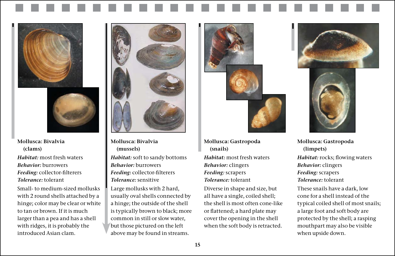![](_page_14_Picture_0.jpeg)

![](_page_14_Picture_1.jpeg)

**Mollusca: Bivalvia (clams)** *Habitat:* most fresh waters *Behavior:* burrowers *Feeding:* collector-filterers *Tolerance:* tolerant

Small- to medium-sized mollusks with 2 round shells attached by a hinge; color may be clear or white to tan or brown. If it is much larger than a pea and has a shell with ridges, it is probably the introduced Asian clam.

![](_page_14_Picture_4.jpeg)

**Mollusca: Bivalvia (mussels)** *Habitat:* soft to sandy bottoms *Behavior:* burrowers *Feeding:* collector-filterers *Tolerance:* sensitive

Large mollusks with 2 hard, usually oval shells connected by a hinge; the outside of the shell is typically brown to black; more common in still or slow water, but those pictured on the left above may be found in streams.

![](_page_14_Picture_7.jpeg)

**Mollusca: Gastropoda (snails)** *Habitat:* most fresh waters *Behavior:* clingers *Feeding:* scrapers *Tolerance:* tolerant

Diverse in shape and size, but all have a single, coiled shell; the shell is most often cone-like or flattened; a hard plate may cover the opening in the shell when the soft body is retracted.

![](_page_14_Picture_10.jpeg)

![](_page_14_Picture_11.jpeg)

**Mollusca: Gastropoda (limpets)** *Habitat:* rocks; flowing waters *Behavior:* clingers *Feeding:* scrapers *Tolerance:* tolerant

These snails have a dark, low cone for a shell instead of the typical coiled shell of most snails; a large foot and soft body are protected by the shell; a rasping mouthpart may also be visible when upside down.